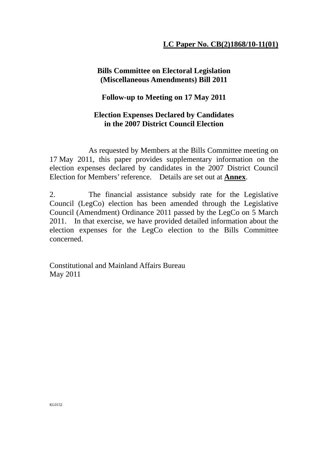## **LC Paper No. CB(2)1868/10-11(01)**

### **Bills Committee on Electoral Legislation (Miscellaneous Amendments) Bill 2011**

### **Follow-up to Meeting on 17 May 2011**

## **Election Expenses Declared by Candidates in the 2007 District Council Election**

 As requested by Members at the Bills Committee meeting on 17 May 2011, this paper provides supplementary information on the election expenses declared by candidates in the 2007 District Council Election for Members' reference. Details are set out at **Annex**.

2. The financial assistance subsidy rate for the Legislative Council (LegCo) election has been amended through the Legislative Council (Amendment) Ordinance 2011 passed by the LegCo on 5 March 2011. In that exercise, we have provided detailed information about the election expenses for the LegCo election to the Bills Committee concerned.

Constitutional and Mainland Affairs Bureau May 2011